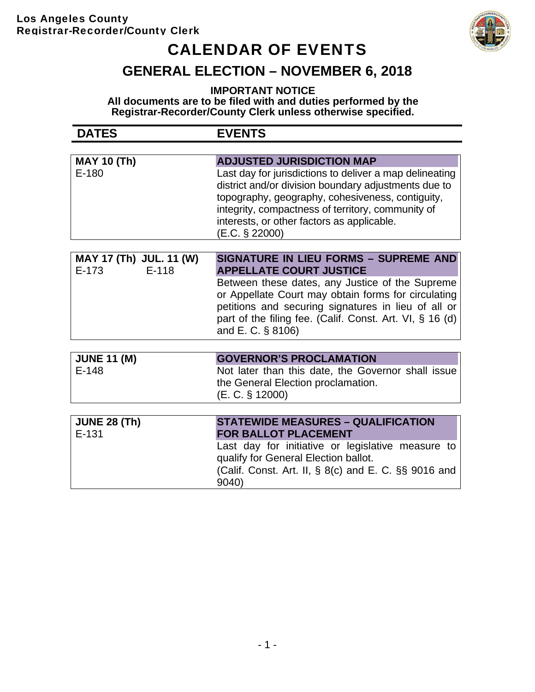### Los Angeles County Registrar-Recorder/County Clerk



# CALENDAR OF EVENTS

### **GENERAL ELECTION – NOVEMBER 6, 2018**

**IMPORTANT NOTICE All documents are to be filed with and duties performed by the Registrar-Recorder/County Clerk unless otherwise specified.**

| <b>DATES</b>                                  | <b>EVENTS</b>                                                                                                                                                                                                                                                                            |
|-----------------------------------------------|------------------------------------------------------------------------------------------------------------------------------------------------------------------------------------------------------------------------------------------------------------------------------------------|
|                                               |                                                                                                                                                                                                                                                                                          |
| <b>MAY 10 (Th)</b>                            | <b>ADJUSTED JURISDICTION MAP</b>                                                                                                                                                                                                                                                         |
| $E-180$                                       | Last day for jurisdictions to deliver a map delineating<br>district and/or division boundary adjustments due to<br>topography, geography, cohesiveness, contiguity,<br>integrity, compactness of territory, community of<br>interests, or other factors as applicable.<br>(E.C. § 22000) |
| MAY 17 (Th) JUL. 11 (W)<br>$E-118$<br>$E-173$ | <b>SIGNATURE IN LIEU FORMS - SUPREME AND</b><br><b>APPELLATE COURT JUSTICE</b>                                                                                                                                                                                                           |
|                                               | Between these dates, any Justice of the Supreme<br>or Appellate Court may obtain forms for circulating<br>petitions and securing signatures in lieu of all or<br>part of the filing fee. (Calif. Const. Art. VI, § 16 (d)<br>and E. C. § 8106)                                           |
|                                               |                                                                                                                                                                                                                                                                                          |
| <b>JUNE 11 (M)</b>                            | <b>GOVERNOR'S PROCLAMATION</b>                                                                                                                                                                                                                                                           |
| $E-148$                                       | Not later than this date, the Governor shall issue<br>the General Election proclamation.<br>(E. C. § 12000)                                                                                                                                                                              |
|                                               |                                                                                                                                                                                                                                                                                          |
| <b>JUNE 28 (Th)</b><br>$E - 131$              | <b>STATEWIDE MEASURES - QUALIFICATION</b><br><b>FOR BALLOT PLACEMENT</b>                                                                                                                                                                                                                 |
|                                               | Last day for initiative or legislative measure to<br>qualify for General Election ballot.<br>(Calif. Const. Art. II, § 8(c) and E. C. §§ 9016 and<br>9040)                                                                                                                               |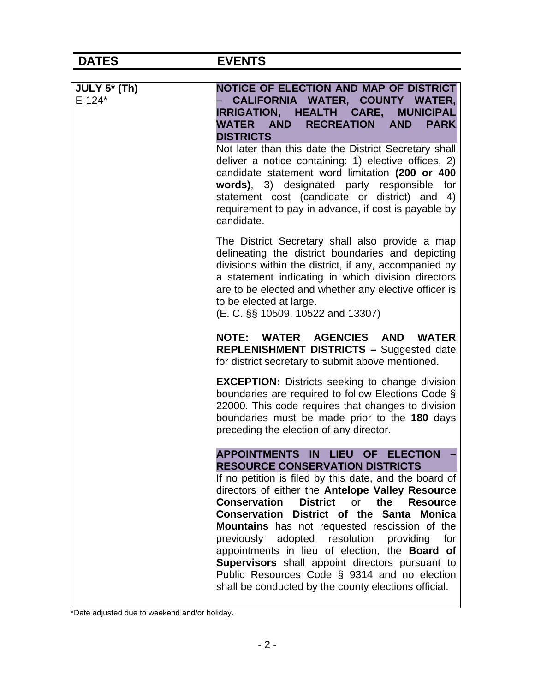| <b>DATES</b>             | <b>EVENTS</b>                                                                                                                                                                                                                                                                                                                                                                                                                                                                                                                                                                                                                                                    |
|--------------------------|------------------------------------------------------------------------------------------------------------------------------------------------------------------------------------------------------------------------------------------------------------------------------------------------------------------------------------------------------------------------------------------------------------------------------------------------------------------------------------------------------------------------------------------------------------------------------------------------------------------------------------------------------------------|
|                          |                                                                                                                                                                                                                                                                                                                                                                                                                                                                                                                                                                                                                                                                  |
| JULY 5* (Th)<br>$E-124*$ | NOTICE OF ELECTION AND MAP OF DISTRICT<br>CALIFORNIA WATER, COUNTY WATER,<br>IRRIGATION, HEALTH CARE, MUNICIPAL<br><b>RECREATION</b><br><b>WATER AND</b><br><b>AND</b><br><b>PARK</b><br><b>DISTRICTS</b><br>Not later than this date the District Secretary shall<br>deliver a notice containing: 1) elective offices, 2)<br>candidate statement word limitation (200 or 400<br>words), 3) designated party responsible for<br>statement cost (candidate or district) and<br>4)<br>requirement to pay in advance, if cost is payable by<br>candidate.                                                                                                           |
|                          | The District Secretary shall also provide a map<br>delineating the district boundaries and depicting<br>divisions within the district, if any, accompanied by<br>a statement indicating in which division directors<br>are to be elected and whether any elective officer is<br>to be elected at large.<br>(E. C. §§ 10509, 10522 and 13307)                                                                                                                                                                                                                                                                                                                     |
|                          | NOTE: WATER AGENCIES AND WATER<br><b>REPLENISHMENT DISTRICTS - Suggested date</b><br>for district secretary to submit above mentioned.                                                                                                                                                                                                                                                                                                                                                                                                                                                                                                                           |
|                          | <b>EXCEPTION:</b> Districts seeking to change division<br>boundaries are required to follow Elections Code §<br>22000. This code requires that changes to division<br>boundaries must be made prior to the 180 days<br>preceding the election of any director.                                                                                                                                                                                                                                                                                                                                                                                                   |
|                          | <b>APPOINTMENTS</b><br>LIEU OF ELECTION<br>IN<br><b>RESOURCE CONSERVATION DISTRICTS</b><br>If no petition is filed by this date, and the board of<br>directors of either the Antelope Valley Resource<br><b>District</b><br><b>Conservation</b><br><b>or</b><br>the<br><b>Resource</b><br>Conservation District of the Santa Monica<br><b>Mountains</b> has not requested rescission of the<br>adopted resolution<br>previously<br>providing<br>for<br>appointments in lieu of election, the Board of<br>Supervisors shall appoint directors pursuant to<br>Public Resources Code § 9314 and no election<br>shall be conducted by the county elections official. |

\*Date adjusted due to weekend and/or holiday.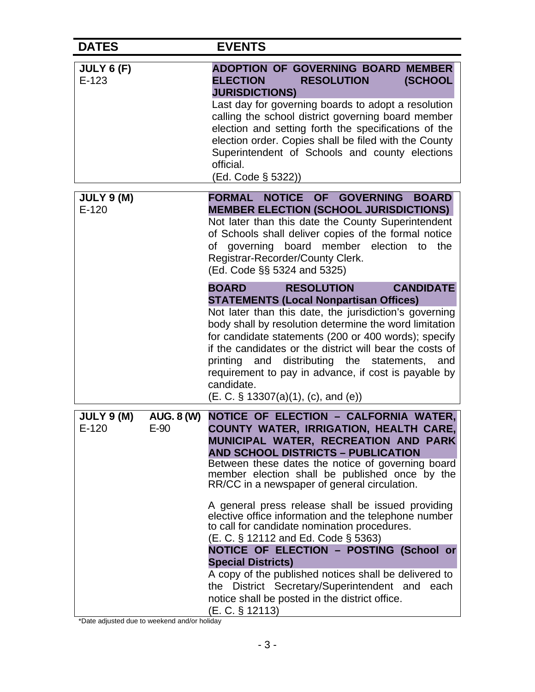| <b>DATES</b>                                     | <b>EVENTS</b>                                                                                                                                                                                                                                                                                                                                                                                                                                                                                                                                                                                                                                                                                                                                                                              |
|--------------------------------------------------|--------------------------------------------------------------------------------------------------------------------------------------------------------------------------------------------------------------------------------------------------------------------------------------------------------------------------------------------------------------------------------------------------------------------------------------------------------------------------------------------------------------------------------------------------------------------------------------------------------------------------------------------------------------------------------------------------------------------------------------------------------------------------------------------|
| JULY 6 (F)<br>$E-123$                            | <b>ADOPTION OF GOVERNING BOARD MEMBER</b><br><b>ELECTION</b><br><b>RESOLUTION</b><br>(SCHOOL<br><b>JURISDICTIONS)</b><br>Last day for governing boards to adopt a resolution<br>calling the school district governing board member<br>election and setting forth the specifications of the<br>election order. Copies shall be filed with the County<br>Superintendent of Schools and county elections<br>official.<br>(Ed. Code § 5322))                                                                                                                                                                                                                                                                                                                                                   |
| <b>JULY 9 (M)</b><br>$E-120$                     | <b>FORMAL NOTICE</b><br>OF GOVERNING<br><b>BOARD</b><br><b>MEMBER ELECTION (SCHOOL JURISDICTIONS)</b><br>Not later than this date the County Superintendent<br>of Schools shall deliver copies of the formal notice<br>of governing board member election to<br>the<br>Registrar-Recorder/County Clerk.<br>(Ed. Code §§ 5324 and 5325)                                                                                                                                                                                                                                                                                                                                                                                                                                                     |
|                                                  | <b>CANDIDATE</b><br><b>RESOLUTION</b><br><b>BOARD</b><br><b>STATEMENTS (Local Nonpartisan Offices)</b><br>Not later than this date, the jurisdiction's governing<br>body shall by resolution determine the word limitation<br>for candidate statements (200 or 400 words); specify<br>if the candidates or the district will bear the costs of<br>printing and distributing the statements, and<br>requirement to pay in advance, if cost is payable by<br>candidate.<br>(E. C. § 13307(a)(1), (c), and (e))                                                                                                                                                                                                                                                                               |
| JULY 9 (M)<br><b>AUG. 8 (W)</b><br>E-120<br>E-90 | NOTICE OF ELECTION - CALFORNIA WATER,<br>COUNTY WATER, IRRIGATION, HEALTH CARE,<br>MUNICIPAL WATER, RECREATION AND PARK<br><b>AND SCHOOL DISTRICTS - PUBLICATION</b><br>Between these dates the notice of governing board<br>member election shall be published once by the<br>RR/CC in a newspaper of general circulation.<br>A general press release shall be issued providing<br>elective office information and the telephone number<br>to call for candidate nomination procedures.<br>(E. C. § 12112 and Ed. Code § 5363)<br>NOTICE OF ELECTION - POSTING (School or<br><b>Special Districts)</b><br>A copy of the published notices shall be delivered to<br>the District Secretary/Superintendent and<br>each<br>notice shall be posted in the district office.<br>(E. C. § 12113) |

\*Date adjusted due to weekend and/or holiday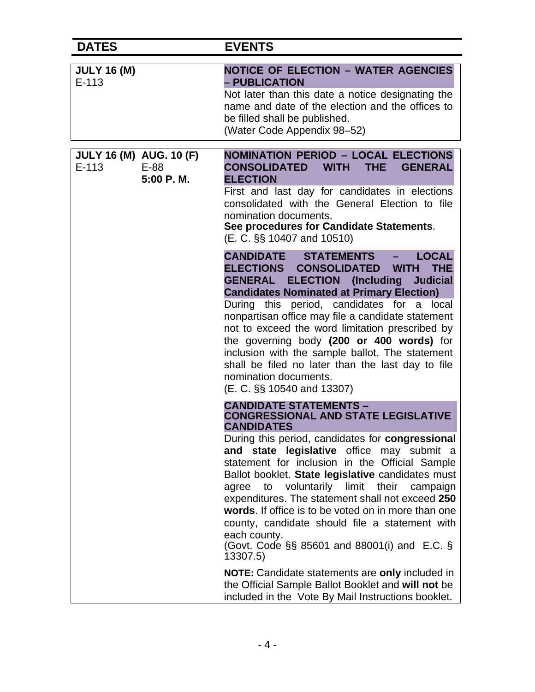| <b>DATES</b>                                                     | <b>EVENTS</b>                                                                                                                                                                                                                                                                                                                                                                                                                                                                                                                                                                                                                                                                                                                                                        |
|------------------------------------------------------------------|----------------------------------------------------------------------------------------------------------------------------------------------------------------------------------------------------------------------------------------------------------------------------------------------------------------------------------------------------------------------------------------------------------------------------------------------------------------------------------------------------------------------------------------------------------------------------------------------------------------------------------------------------------------------------------------------------------------------------------------------------------------------|
| <b>JULY 16 (M)</b><br>$E-113$                                    | <b>NOTICE OF ELECTION - WATER AGENCIES</b><br>- PUBLICATION<br>Not later than this date a notice designating the<br>name and date of the election and the offices to<br>be filled shall be published.<br>(Water Code Appendix 98-52)                                                                                                                                                                                                                                                                                                                                                                                                                                                                                                                                 |
| <b>JULY 16 (M) AUG. 10 (F)</b><br>$E-113$<br>$E-88$<br>5:00 P.M. | <b>NOMINATION PERIOD - LOCAL ELECTIONS</b><br><b>CONSOLIDATED</b><br><b>WITH</b><br>THE.<br><b>GENERAL</b><br><b>ELECTION</b><br>First and last day for candidates in elections<br>consolidated with the General Election to file<br>nomination documents.<br>See procedures for Candidate Statements.<br>(E. C. §§ 10407 and 10510)                                                                                                                                                                                                                                                                                                                                                                                                                                 |
|                                                                  | CANDIDATE STATEMENTS<br><b>LOCAL</b><br><b>ELECTIONS</b><br><b>WITH</b><br><b>THE</b><br><b>CONSOLIDATED</b><br><b>GENERAL</b><br><b>ELECTION</b> (Including<br><b>Judicial</b><br><b>Candidates Nominated at Primary Election)</b><br>During this period, candidates for a local<br>nonpartisan office may file a candidate statement<br>not to exceed the word limitation prescribed by<br>the governing body (200 or 400 words) for<br>inclusion with the sample ballot. The statement<br>shall be filed no later than the last day to file<br>nomination documents.<br>(E. C. §§ 10540 and 13307)                                                                                                                                                                |
|                                                                  | <b>CANDIDATE STATEMENTS -</b><br><b>CONGRESSIONAL AND STATE LEGISLATIVE</b><br><b>CANDIDATES</b><br>During this period, candidates for congressional<br>and state legislative office may submit a<br>statement for inclusion in the Official Sample<br>Ballot booklet. State legislative candidates must<br>agree to voluntarily limit their campaign<br>expenditures. The statement shall not exceed 250<br>words. If office is to be voted on in more than one<br>county, candidate should file a statement with<br>each county.<br>(Govt. Code §§ 85601 and 88001(i) and E.C. §<br>13307.5)<br><b>NOTE:</b> Candidate statements are only included in<br>the Official Sample Ballot Booklet and will not be<br>included in the Vote By Mail Instructions booklet. |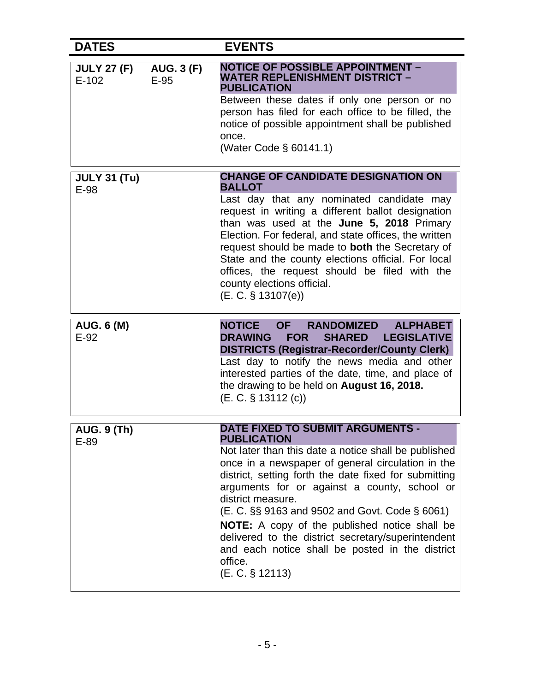| <b>DATES</b>                  |                             | <b>EVENTS</b>                                                                                                                                                                                                                                                                                                                                                                                                                                                                                                                                                |
|-------------------------------|-----------------------------|--------------------------------------------------------------------------------------------------------------------------------------------------------------------------------------------------------------------------------------------------------------------------------------------------------------------------------------------------------------------------------------------------------------------------------------------------------------------------------------------------------------------------------------------------------------|
| <b>JULY 27 (F)</b><br>$E-102$ | <b>AUG. 3 (F)</b><br>$E-95$ | <b>NOTICE OF POSSIBLE APPOINTMENT -</b><br>WATER REPLENISHMENT DISTRICT –<br><b>PUBLICATION</b><br>Between these dates if only one person or no<br>person has filed for each office to be filled, the<br>notice of possible appointment shall be published<br>once.<br>(Water Code § 60141.1)                                                                                                                                                                                                                                                                |
| <b>JULY 31 (Tu)</b><br>E-98   |                             | <b>CHANGE OF CANDIDATE DESIGNATION ON</b><br><b>BALLOT</b><br>Last day that any nominated candidate may<br>request in writing a different ballot designation<br>than was used at the June 5, 2018 Primary<br>Election. For federal, and state offices, the written<br>request should be made to both the Secretary of<br>State and the county elections official. For local<br>offices, the request should be filed with the<br>county elections official.<br>(E. C. § 13107(e))                                                                             |
| <b>AUG. 6 (M)</b><br>$E-92$   |                             | <b>NOTICE OF</b><br><b>RANDOMIZED</b><br><b>ALPHABET</b><br><b>DRAWING</b><br><b>FOR</b><br><b>SHARED</b><br><b>LEGISLATIVE</b><br><b>DISTRICTS (Registrar-Recorder/County Clerk)</b><br>Last day to notify the news media and other<br>interested parties of the date, time, and place of<br>the drawing to be held on August 16, 2018.<br>$(E. C. \S 13112(c))$                                                                                                                                                                                            |
| <b>AUG. 9 (Th)</b><br>$E-89$  |                             | <b>DATE FIXED TO SUBMIT ARGUMENTS -</b><br><b>PUBLICATION</b><br>Not later than this date a notice shall be published<br>once in a newspaper of general circulation in the<br>district, setting forth the date fixed for submitting<br>arguments for or against a county, school or<br>district measure.<br>(E. C. §§ 9163 and 9502 and Govt. Code § 6061)<br><b>NOTE:</b> A copy of the published notice shall be<br>delivered to the district secretary/superintendent<br>and each notice shall be posted in the district<br>office.<br>$(E. C. \S 12113)$ |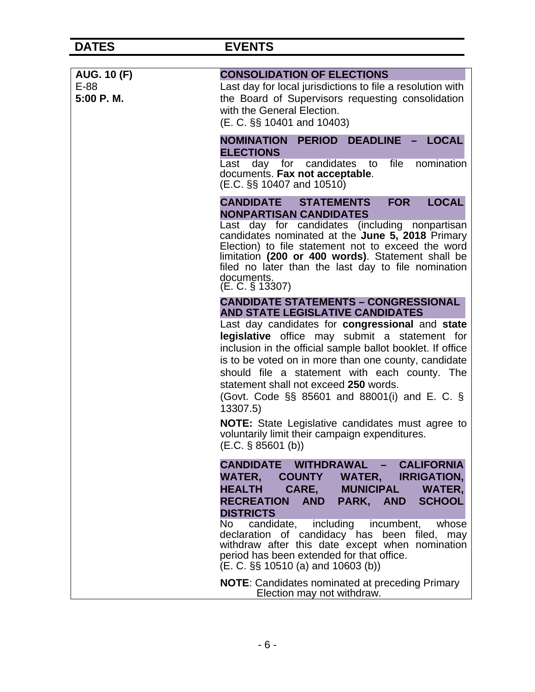| <b>AUG. 10 (F)</b> | <b>CONSOLIDATION OF ELECTIONS</b>                                                                                                                                                                                                                                                                                                                                                                                                                                                                                                                                                                                 |
|--------------------|-------------------------------------------------------------------------------------------------------------------------------------------------------------------------------------------------------------------------------------------------------------------------------------------------------------------------------------------------------------------------------------------------------------------------------------------------------------------------------------------------------------------------------------------------------------------------------------------------------------------|
| E-88<br>5:00 P.M.  | Last day for local jurisdictions to file a resolution with<br>the Board of Supervisors requesting consolidation<br>with the General Election.<br>(E. C. §§ 10401 and 10403)                                                                                                                                                                                                                                                                                                                                                                                                                                       |
|                    | - LOCAL<br><b>NOMINATION PERIOD</b><br><b>DEADLINE</b><br><b>ELECTIONS</b><br>file<br>nomination<br>day for candidates<br>to<br>Last<br>documents. Fax not acceptable.<br>$(E.C. \S\S 10407$ and $10510)$                                                                                                                                                                                                                                                                                                                                                                                                         |
|                    | <b>LOCAL</b><br><b>CANDIDATE STATEMENTS</b><br><b>FOR</b><br><b>NONPARTISAN CANDIDATES</b><br>Last day for candidates (including nonpartisan<br>candidates nominated at the June 5, 2018 Primary<br>Election) to file statement not to exceed the word<br>limitation (200 or 400 words). Statement shall be<br>filed no later than the last day to file nomination<br>documents.<br>(E. C. § 13307)                                                                                                                                                                                                               |
|                    | <b>CANDIDATE STATEMENTS - CONGRESSIONAL</b><br><b>AND STATE LEGISLATIVE CANDIDATES</b><br>Last day candidates for congressional and state<br>legislative office may submit a statement for<br>inclusion in the official sample ballot booklet. If office<br>is to be voted on in more than one county, candidate<br>should file a statement with each county. The<br>statement shall not exceed 250 words.<br>(Govt. Code $\S$ § 85601 and 88001(i) and E. C. $\S$<br>13307.5)<br><b>NOTE:</b> State Legislative candidates must agree to<br>voluntarily limit their campaign expenditures.<br>(E.C. § 85601 (b)) |
|                    | CANDIDATE WITHDRAWAL - CALIFORNIA<br><b>WATER,</b><br>COUNTY WATER, IRRIGATION,<br>CARE, MUNICIPAL WATER,<br><b>HEALTH</b><br><b>SCHOOL</b><br><b>AND</b><br>PARK, AND<br><b>RECREATION</b><br><b>DISTRICTS</b><br>candidate, including<br>No<br>incumbent,<br>whose<br>declaration of candidacy has been filed, may<br>withdraw after this date except when nomination<br>period has been extended for that office.<br>$(E. C. \S\S 10510 (a)$ and 10603 (b))                                                                                                                                                    |
|                    | <b>NOTE:</b> Candidates nominated at preceding Primary<br>Election may not withdraw.                                                                                                                                                                                                                                                                                                                                                                                                                                                                                                                              |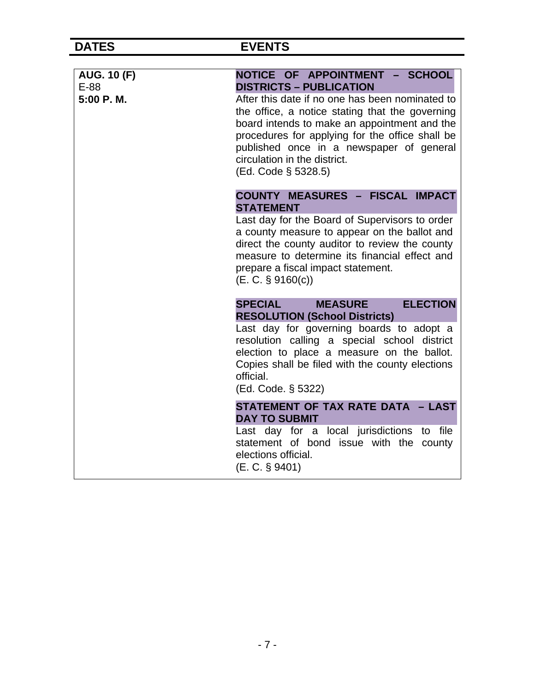| <b>AUG. 10 (F)</b> | NOTICE OF APPOINTMENT - SCHOOL<br><b>DISTRICTS - PUBLICATION</b>                                                                                                                                                                                                                                         |
|--------------------|----------------------------------------------------------------------------------------------------------------------------------------------------------------------------------------------------------------------------------------------------------------------------------------------------------|
| E-88<br>5:00 P.M.  | After this date if no one has been nominated to<br>the office, a notice stating that the governing<br>board intends to make an appointment and the<br>procedures for applying for the office shall be<br>published once in a newspaper of general<br>circulation in the district.<br>(Ed. Code § 5328.5) |
|                    | <b>COUNTY MEASURES - FISCAL IMPACT</b><br><b>STATEMENT</b>                                                                                                                                                                                                                                               |
|                    | Last day for the Board of Supervisors to order<br>a county measure to appear on the ballot and<br>direct the county auditor to review the county<br>measure to determine its financial effect and<br>prepare a fiscal impact statement.<br>(E. C. § 9160(c))                                             |
|                    | <b>SPECIAL</b><br><b>ELECTION</b><br><b>MEASURE</b><br><b>RESOLUTION (School Districts)</b>                                                                                                                                                                                                              |
|                    | Last day for governing boards to adopt a<br>resolution calling a special school district<br>election to place a measure on the ballot.<br>Copies shall be filed with the county elections<br>official.<br>(Ed. Code. § 5322)                                                                             |
|                    | STATEMENT OF TAX RATE DATA - LAST<br><b>DAY TO SUBMIT</b>                                                                                                                                                                                                                                                |
|                    | Last day for a local jurisdictions to file<br>statement of bond issue with the county<br>elections official.<br>$(E. C. \S 9401)$                                                                                                                                                                        |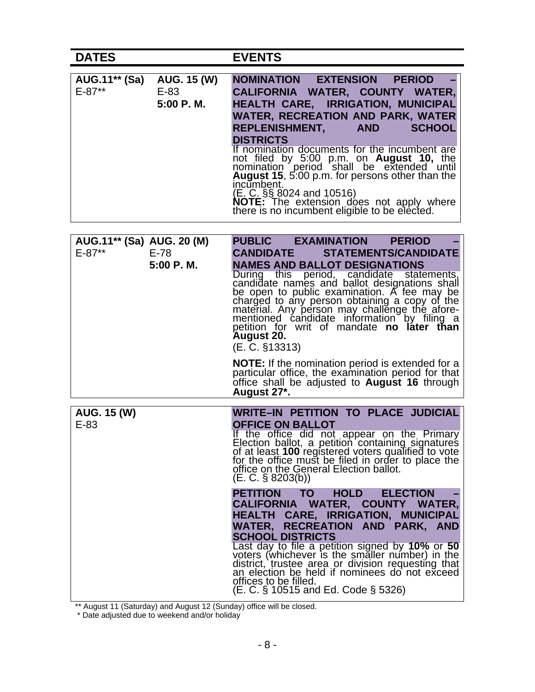## **DATES EVENTS**

| AUG. 15 (W) | NOMINATION EXTENSION<br><b>PERIOD</b>                                                                                                       |
|-------------|---------------------------------------------------------------------------------------------------------------------------------------------|
| $E-83$      | CALIFORNIA WATER, COUNTY WATER,                                                                                                             |
| 5:00 P.M.   | <b>HEALTH CARE, IRRIGATION, MUNICIPAL</b>                                                                                                   |
|             | <b>WATER, RECREATION AND PARK, WATER</b>                                                                                                    |
|             | <b>SCHOOL</b><br>REPLENISHMENT, AND                                                                                                         |
|             | <b>DISTRICTS</b>                                                                                                                            |
|             | If nomination documents for the incumbent are<br>not filed by 5:00 p.m. on <b>August 10</b> , the nomination period shall be extended until |
|             | August 15, 5:00 p.m. for persons other than the                                                                                             |
|             | incumbent.<br>(E. C. §§ 8024 and 10516)                                                                                                     |
|             | NOTE: The extension does not apply where<br>there is no incumbent eligible to be elected.                                                   |
|             |                                                                                                                                             |

| AUG.11** (Sa) AUG. 20 (M)                                            | <b>PUBLIC</b><br><b>EXAMINATION</b><br><b>PERIOD</b>                                                                                                                                                                                                                                                                                                                                                                                                                                                |
|----------------------------------------------------------------------|-----------------------------------------------------------------------------------------------------------------------------------------------------------------------------------------------------------------------------------------------------------------------------------------------------------------------------------------------------------------------------------------------------------------------------------------------------------------------------------------------------|
| $E - 87**$<br>$E-78$                                                 | <b>CANDIDATE</b><br><b>STATEMENTS/CANDIDATE</b>                                                                                                                                                                                                                                                                                                                                                                                                                                                     |
| 5:00 P.M.                                                            | <b>NAMES AND BALLOT DESIGNATIONS</b><br>During this period, candidate statements,<br>candidate names and ballot designations shall<br>be open to public examination. A fee may be<br>charged to any person obtaining a copy of the<br>material. Any person may challenge the afore-<br>mentioned candidate information by filing a<br>petition for writ of mandate <b>no later than</b><br><b>August 20.</b><br>(E. C. §13313)                                                                      |
|                                                                      | <b>NOTE:</b> If the nomination period is extended for a<br>particular office, the examination period for that<br>office shall be adjusted to <b>August 16</b> through<br>August 27*.                                                                                                                                                                                                                                                                                                                |
|                                                                      |                                                                                                                                                                                                                                                                                                                                                                                                                                                                                                     |
| AUG. 15 (W)<br>$E-83$                                                | WRITE-IN PETITION TO PLACE JUDICIAL<br><b>OFFICE ON BALLOT</b><br>If the office did not appear on the Primary<br>Election ballot, a petition containing signatures<br>of at least 100 registered voters qualified to vote<br>for the office must be filed in order to place the<br>office on the General Election ballot.<br>$(E. C. \S$ 8203(b))                                                                                                                                                   |
|                                                                      | <b>ELECTION</b><br><b>PETITION TO</b><br><b>HOLD</b><br>CALIFORNIA WATER, COUNTY WATER,<br><b>HEALTH</b><br><b>CARE, IRRIGATION,</b><br><b>MUNICIPAL</b><br>WATER, RECREATION AND PARK, AND<br><b>SCHOOL DISTRICTS</b><br>Last day to file a petition signed by 10% or 50<br>voters (whichever is the smaller number) in the<br>district, trustee area or division requesting that<br>an election be held if nominees do not exceed<br>offices to be filled.<br>(E. C. § 10515 and Ed. Code § 5326) |
| ** August 11 (Saturday) and August 12 (Sunday) office will be closed |                                                                                                                                                                                                                                                                                                                                                                                                                                                                                                     |

\*\* August 11 (Saturday) and August 12 (Sunday) office will be closed.

\* Date adjusted due to weekend and/or holiday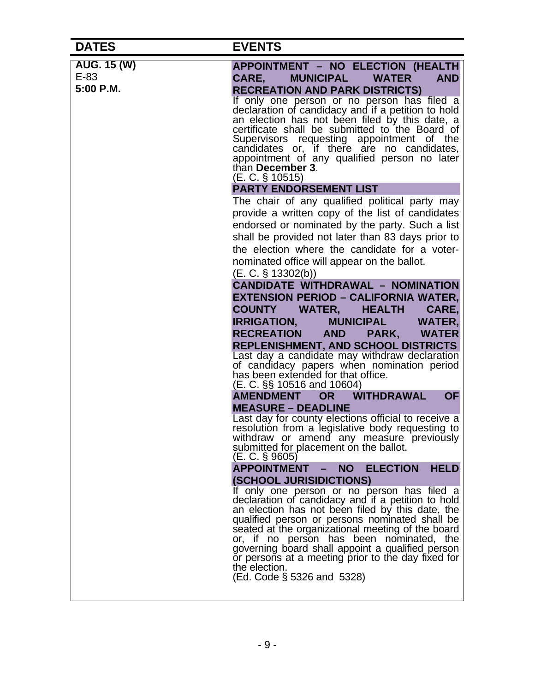| <b>DATES</b> | <b>EVENTS</b>                                                                                                                                                                                                                                                                                                                                                                                                                                                     |
|--------------|-------------------------------------------------------------------------------------------------------------------------------------------------------------------------------------------------------------------------------------------------------------------------------------------------------------------------------------------------------------------------------------------------------------------------------------------------------------------|
| AUG. 15 (W)  | APPOINTMENT - NO ELECTION (HEALTH                                                                                                                                                                                                                                                                                                                                                                                                                                 |
| $E-83$       | <b>AND</b><br><b>MUNICIPAL</b><br><b>WATER</b><br>CARE.                                                                                                                                                                                                                                                                                                                                                                                                           |
| 5:00 P.M.    | <b>RECREATION AND PARK DISTRICTS)</b>                                                                                                                                                                                                                                                                                                                                                                                                                             |
|              | If only one person or no person has filed a<br>declaration of candidacy and if a petition to hold<br>an election has not been filed by this date, a<br>certificate shall be submitted to the Board of<br>Supervisors requesting appointment of the<br>candidates or, if there are no candidates,<br>appointment of any qualified person no later<br>than December 3.<br>$(E. C. \S 10515)$                                                                        |
|              | <b>PARTY ENDORSEMENT LIST</b>                                                                                                                                                                                                                                                                                                                                                                                                                                     |
|              | The chair of any qualified political party may<br>provide a written copy of the list of candidates<br>endorsed or nominated by the party. Such a list<br>shall be provided not later than 83 days prior to<br>the election where the candidate for a voter-<br>nominated office will appear on the ballot.<br>(E. C. § 13302(b))                                                                                                                                  |
|              | <b>CANDIDATE WITHDRAWAL - NOMINATION</b>                                                                                                                                                                                                                                                                                                                                                                                                                          |
|              | <b>EXTENSION PERIOD - CALIFORNIA WATER,</b>                                                                                                                                                                                                                                                                                                                                                                                                                       |
|              | <b>COUNTY</b><br><b>WATER,</b><br>CARE,<br><b>HEALTH</b>                                                                                                                                                                                                                                                                                                                                                                                                          |
|              | <b>IRRIGATION,</b><br><b>MUNICIPAL</b><br>WATER,                                                                                                                                                                                                                                                                                                                                                                                                                  |
|              | <b>RECREATION</b><br><b>AND</b><br>PARK,<br><b>WATER</b><br><b>REPLENISHMENT, AND SCHOOL DISTRICTS</b>                                                                                                                                                                                                                                                                                                                                                            |
|              | Last day a candidate may withdraw declaration<br>of candidacy papers when nomination period<br>has been extended for that office.<br>(E. C. §§ 10516 and 10604)                                                                                                                                                                                                                                                                                                   |
|              | <b>WITHDRAWAL</b><br><b>AMENDMENT</b><br><b>OF</b><br><b>OR</b>                                                                                                                                                                                                                                                                                                                                                                                                   |
|              | <b>MEASURE - DEADLINE</b>                                                                                                                                                                                                                                                                                                                                                                                                                                         |
|              | Last day for county elections official to receive a<br>resolution from a legislative body requesting to<br>withdraw or amend any measure previously<br>submitted for placement on the ballot.<br>(E. C. § 9605)                                                                                                                                                                                                                                                   |
|              | <b>ELECTION</b><br><b>APPOINTMENT</b><br><b>HELD</b><br><b>NO</b>                                                                                                                                                                                                                                                                                                                                                                                                 |
|              | <b>(SCHOOL JURISIDICTIONS)</b>                                                                                                                                                                                                                                                                                                                                                                                                                                    |
|              | If only one person or no person has filed a<br>declaration of candidacy and if a petition to hold<br>an election has not been filed by this date, the<br>qualified person or persons nominated shall be<br>seated at the organizational meeting of the board<br>or, if no person has been nominated, the<br>governing board shall appoint a qualified person<br>or persons at a meeting prior to the day fixed for<br>the election.<br>(Ed. Code § 5326 and 5328) |
|              |                                                                                                                                                                                                                                                                                                                                                                                                                                                                   |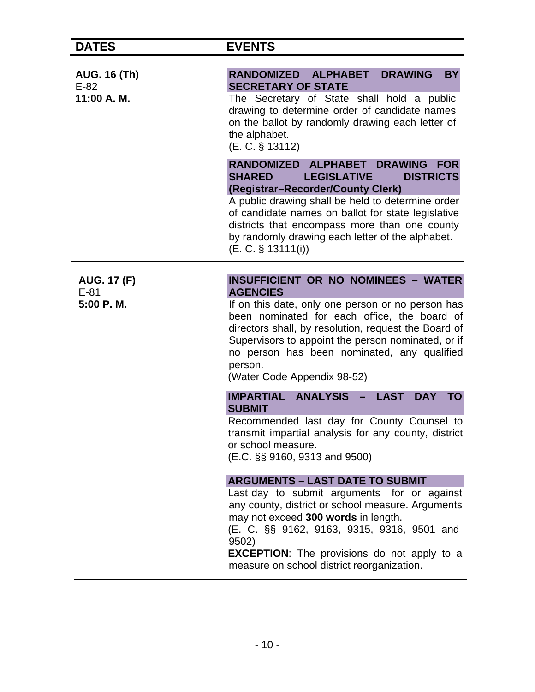| <b>AUG. 16 (Th)</b><br>$E-82$<br>11:00 A. M. | <b>DRAWING</b><br>RANDOMIZED ALPHABET<br><b>BY</b><br><b>SECRETARY OF STATE</b><br>The Secretary of State shall hold a public<br>drawing to determine order of candidate names<br>on the ballot by randomly drawing each letter of<br>the alphabet.<br>(E. C. § 13112)                                                                                                    |
|----------------------------------------------|---------------------------------------------------------------------------------------------------------------------------------------------------------------------------------------------------------------------------------------------------------------------------------------------------------------------------------------------------------------------------|
|                                              | RANDOMIZED ALPHABET DRAWING FOR<br><b>DISTRICTS</b><br><b>SHARED</b><br><b>LEGISLATIVE</b><br>(Registrar-Recorder/County Clerk)<br>A public drawing shall be held to determine order<br>of candidate names on ballot for state legislative<br>districts that encompass more than one county<br>by randomly drawing each letter of the alphabet.<br>$(E. C. \S 13111(i))$  |
| <b>AUG. 17 (F)</b><br>$E-81$<br>5:00 P.M.    | <b>INSUFFICIENT OR NO NOMINEES - WATER</b><br><b>AGENCIES</b><br>If on this date, only one person or no person has<br>been nominated for each office, the board of<br>directors shall, by resolution, request the Board of<br>Supervisors to appoint the person nominated, or if<br>no person has been nominated, any qualified<br>person.<br>(Water Code Appendix 98-52) |
|                                              | IMPARTIAL ANALYSIS<br><b>LAST</b><br><b>DAY</b><br><b>TO</b><br><b>SUBMIT</b><br>Recommended last day for County Counsel to<br>transmit impartial analysis for any county, district<br>or school measure.<br>(E.C. §§ 9160, 9313 and 9500)                                                                                                                                |
|                                              | <b>ARGUMENTS - LAST DATE TO SUBMIT</b><br>Last day to submit arguments for or against<br>any county, district or school measure. Arguments<br>may not exceed 300 words in length.<br>(E. C. §§ 9162, 9163, 9315, 9316, 9501 and<br>9502)<br><b>EXCEPTION:</b> The provisions do not apply to a<br>measure on school district reorganization.                              |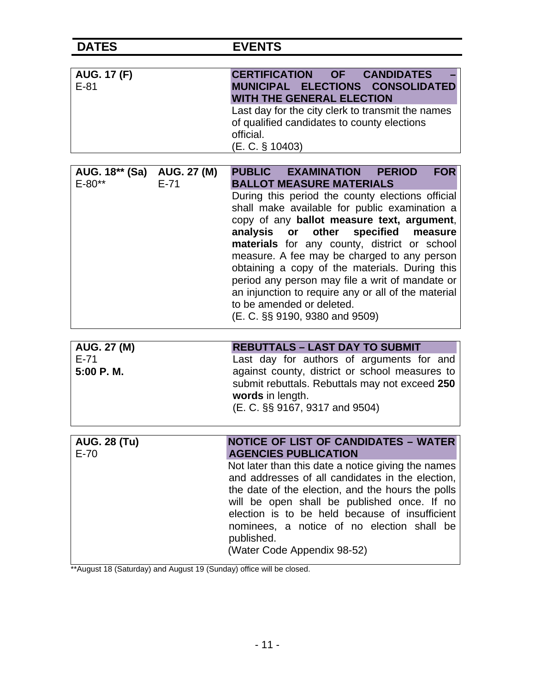| <b>AUG. 17 (F)</b><br>$E-81$                         | <b>CERTIFICATION OF</b><br><b>CANDIDATES</b><br>MUNICIPAL ELECTIONS CONSOLIDATED<br><b>WITH THE GENERAL ELECTION</b><br>Last day for the city clerk to transmit the names<br>of qualified candidates to county elections<br>official.<br>$(E. C. \S 10403)$                                                                                                                                                                                                                                                                                                                                                          |
|------------------------------------------------------|----------------------------------------------------------------------------------------------------------------------------------------------------------------------------------------------------------------------------------------------------------------------------------------------------------------------------------------------------------------------------------------------------------------------------------------------------------------------------------------------------------------------------------------------------------------------------------------------------------------------|
| AUG. 18** (Sa) AUG. 27 (M)<br>$E - 80**$<br>$E - 71$ | PUBLIC EXAMINATION<br><b>FOR</b><br><b>PERIOD</b><br><b>BALLOT MEASURE MATERIALS</b><br>During this period the county elections official<br>shall make available for public examination a<br>copy of any ballot measure text, argument,<br>specified<br>analysis<br>other<br>or<br>measure<br>materials for any county, district or school<br>measure. A fee may be charged to any person<br>obtaining a copy of the materials. During this<br>period any person may file a writ of mandate or<br>an injunction to require any or all of the material<br>to be amended or deleted.<br>(E. C. §§ 9190, 9380 and 9509) |
| <b>AUG. 27 (M)</b><br>$E-71$<br>5:00 P.M.            | <b>REBUTTALS - LAST DAY TO SUBMIT</b><br>Last day for authors of arguments for and<br>against county, district or school measures to<br>submit rebuttals. Rebuttals may not exceed 250<br>words in length.<br>(E. C. §§ 9167, 9317 and 9504)                                                                                                                                                                                                                                                                                                                                                                         |
| <b>AUG. 28 (Tu)</b><br>$E-70$                        | <b>NOTICE OF LIST OF CANDIDATES - WATER</b><br><b>AGENCIES PUBLICATION</b><br>Not later than this date a notice giving the names<br>and addresses of all candidates in the election,<br>the date of the election, and the hours the polls<br>will be open shall be published once. If no<br>election is to be held because of insufficient<br>nominees, a notice of no election shall be<br>published.<br>(Water Code Appendix 98-52)                                                                                                                                                                                |

\*\*August 18 (Saturday) and August 19 (Sunday) office will be closed.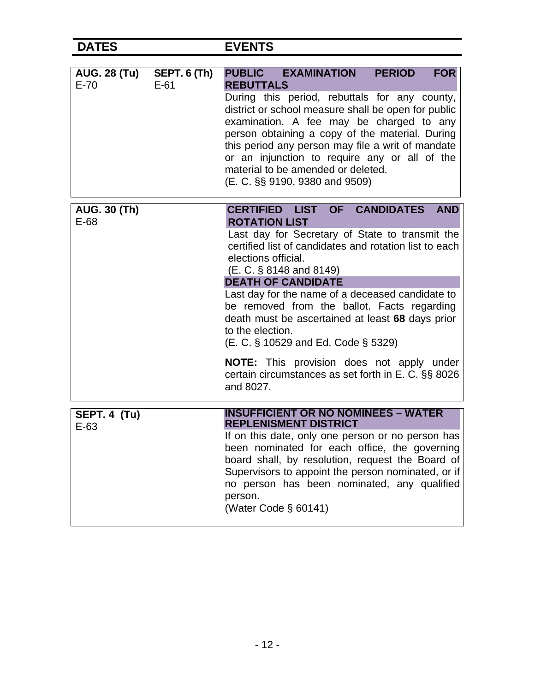| <b>DATES</b>                  |                               | <b>EVENTS</b>                                                                                                                                                                                                                                                                                                                                                                                                                                                                                                                                                                                            |
|-------------------------------|-------------------------------|----------------------------------------------------------------------------------------------------------------------------------------------------------------------------------------------------------------------------------------------------------------------------------------------------------------------------------------------------------------------------------------------------------------------------------------------------------------------------------------------------------------------------------------------------------------------------------------------------------|
| <b>AUG. 28 (Tu)</b><br>$E-70$ | <b>SEPT. 6 (Th)</b><br>$E-61$ | <b>EXAMINATION</b><br><b>PUBLIC</b><br><b>PERIOD</b><br><b>FOR</b><br><b>REBUTTALS</b><br>During this period, rebuttals for any county,<br>district or school measure shall be open for public<br>examination. A fee may be charged to any<br>person obtaining a copy of the material. During<br>this period any person may file a writ of mandate<br>or an injunction to require any or all of the<br>material to be amended or deleted.<br>(E. C. §§ 9190, 9380 and 9509)                                                                                                                              |
| <b>AUG. 30 (Th)</b><br>E-68   |                               | CERTIFIED LIST OF CANDIDATES<br><b>AND</b><br><b>ROTATION LIST</b><br>Last day for Secretary of State to transmit the<br>certified list of candidates and rotation list to each<br>elections official.<br>(E. C. § 8148 and 8149)<br><b>DEATH OF CANDIDATE</b><br>Last day for the name of a deceased candidate to<br>be removed from the ballot. Facts regarding<br>death must be ascertained at least 68 days prior<br>to the election.<br>(E. C. § 10529 and Ed. Code § 5329)<br><b>NOTE:</b> This provision does not apply under<br>certain circumstances as set forth in E. C. §§ 8026<br>and 8027. |
| SEPT. 4 (Tu)<br>$E-63$        |                               | <b>INSUFFICIENT OR NO NOMINEES - WATER</b><br><b>REPLENISMENT DISTRICT</b><br>If on this date, only one person or no person has<br>been nominated for each office, the governing<br>board shall, by resolution, request the Board of<br>Supervisors to appoint the person nominated, or if<br>no person has been nominated, any qualified<br>person.<br>(Water Code § 60141)                                                                                                                                                                                                                             |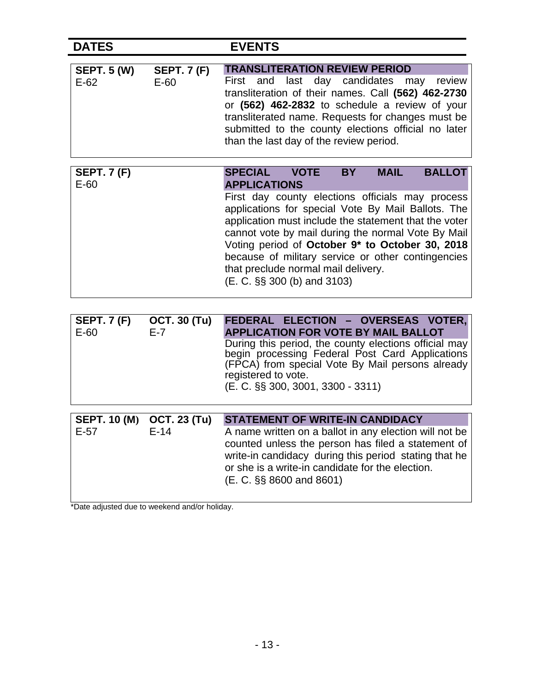| <b>DATES</b>                  |                               | <b>EVENTS</b>                                                                                                                                                                                                                                                                                                                                                                                                                                                                                             |
|-------------------------------|-------------------------------|-----------------------------------------------------------------------------------------------------------------------------------------------------------------------------------------------------------------------------------------------------------------------------------------------------------------------------------------------------------------------------------------------------------------------------------------------------------------------------------------------------------|
| <b>SEPT. 5 (W)</b><br>$E-62$  | <b>SEPT. 7 (F)</b><br>$E-60$  | <b>TRANSLITERATION REVIEW PERIOD</b><br>day candidates<br>last<br>review<br>First<br>and<br>may<br>transliteration of their names. Call (562) 462-2730<br>or (562) 462-2832 to schedule a review of your<br>transliterated name. Requests for changes must be<br>submitted to the county elections official no later<br>than the last day of the review period.                                                                                                                                           |
| <b>SEPT. 7 (F)</b><br>$E-60$  |                               | <b>BALLOT</b><br><b>VOTE</b><br><b>MAIL</b><br><b>SPECIAL</b><br><b>BY</b><br><b>APPLICATIONS</b><br>First day county elections officials may process<br>applications for special Vote By Mail Ballots. The<br>application must include the statement that the voter<br>cannot vote by mail during the normal Vote By Mail<br>Voting period of October 9* to October 30, 2018<br>because of military service or other contingencies<br>that preclude normal mail delivery.<br>(E. C. §§ 300 (b) and 3103) |
| <b>SEPT. 7 (F)</b><br>$E-60$  | <b>OCT. 30 (Tu)</b><br>E-7    | FEDERAL ELECTION - OVERSEAS VOTER,<br><b>APPLICATION FOR VOTE BY MAIL BALLOT</b><br>During this period, the county elections official may<br>begin processing Federal Post Card Applications<br>(FPCA) from special Vote By Mail persons already<br>registered to vote.<br>(E. C. §§ 300, 3001, 3300 - 3311)                                                                                                                                                                                              |
| <b>SEPT. 10 (M)</b><br>$E-57$ | <b>OCT. 23 (Tu)</b><br>$E-14$ | <b>STATEMENT OF WRITE-IN CANDIDACY</b><br>A name written on a ballot in any election will not be<br>counted unless the person has filed a statement of<br>write-in candidacy during this period stating that he<br>or she is a write-in candidate for the election.<br>$(E. C. \S\$ 8600 and 8601)                                                                                                                                                                                                        |

\*Date adjusted due to weekend and/or holiday.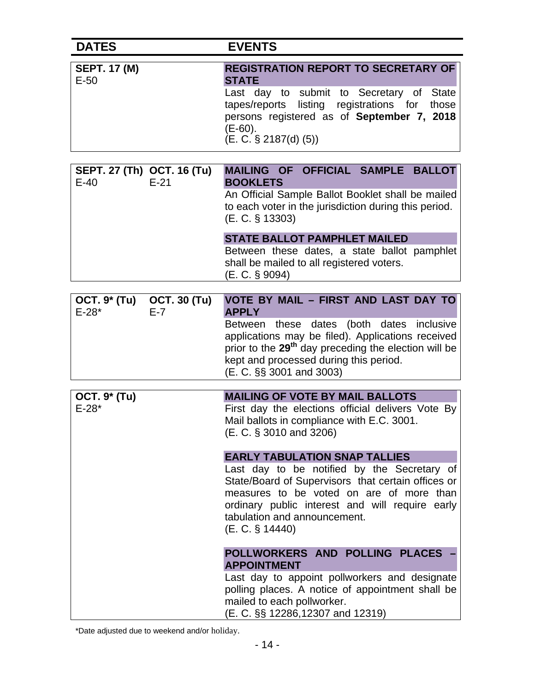| <b>DATES</b>                                                   | <b>EVENTS</b>                                                                                                                                                                                                                                                                                                                                  |
|----------------------------------------------------------------|------------------------------------------------------------------------------------------------------------------------------------------------------------------------------------------------------------------------------------------------------------------------------------------------------------------------------------------------|
| <b>SEPT. 17 (M)</b><br>$E-50$                                  | <b>REGISTRATION REPORT TO SECRETARY OF</b><br><b>STATE</b><br>Last day to submit to Secretary of State<br>tapes/reports listing registrations for those<br>persons registered as of September 7, 2018<br>$(E-60)$ .<br>(E. C. S 2187(d) (5))                                                                                                   |
| SEPT. 27 (Th) OCT. 16 (Tu)<br>$E-21$<br>$E-40$                 | MAILING OF OFFICIAL SAMPLE BALLOT<br><b>BOOKLETS</b><br>An Official Sample Ballot Booklet shall be mailed<br>to each voter in the jurisdiction during this period.<br>(E. C. § 13303)<br><b>STATE BALLOT PAMPHLET MAILED</b><br>Between these dates, a state ballot pamphlet<br>shall be mailed to all registered voters.<br>$(E. C. \S 9094)$ |
| <b>OCT. 9* (Tu)</b><br><b>OCT. 30 (Tu)</b><br>$E-28*$<br>$E-7$ | VOTE BY MAIL - FIRST AND LAST DAY TO<br><b>APPLY</b><br>Between these dates (both dates inclusive<br>applications may be filed). Applications received<br>prior to the 29 <sup>th</sup> day preceding the election will be<br>kept and processed during this period.<br>(E. C. §§ 3001 and 3003)                                               |
| <b>OCT. 9* (Tu)</b><br>$E - 28*$                               | <b>MAILING OF VOTE BY MAIL BALLOTS</b><br>First day the elections official delivers Vote By<br>Mail ballots in compliance with E.C. 3001.<br>(E. C. § 3010 and 3206)<br><b>EARLY TABULATION SNAP TALLIES</b>                                                                                                                                   |
|                                                                | Last day to be notified by the Secretary of<br>State/Board of Supervisors that certain offices or<br>measures to be voted on are of more than<br>ordinary public interest and will require early<br>tabulation and announcement.<br>(E. C. § 14440)                                                                                            |
|                                                                | POLLWORKERS AND POLLING PLACES<br><b>APPOINTMENT</b><br>Last day to appoint pollworkers and designate<br>polling places. A notice of appointment shall be<br>mailed to each pollworker.<br>(E. C. §§ 12286,12307 and 12319)                                                                                                                    |

\*Date adjusted due to weekend and/or holiday.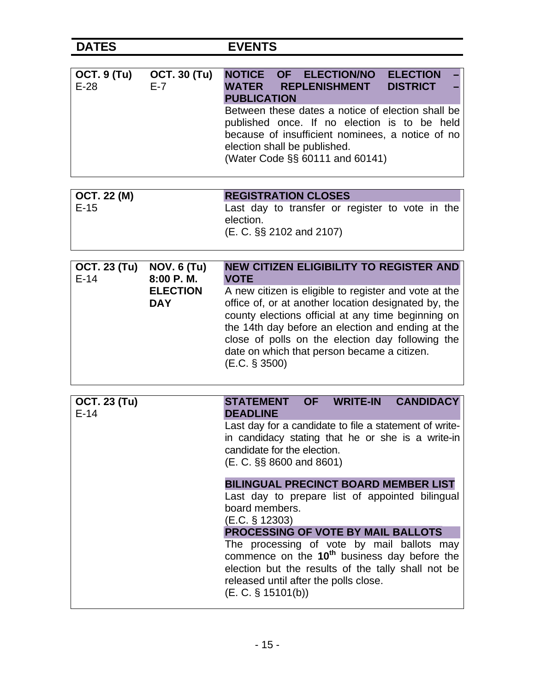| <b>OCT. 9 (Tu)</b><br>$E-28$ | <b>OCT. 30 (Tu)</b><br>$E-7$               | OF ELECTION/NO<br><b>NOTICE</b><br><b>ELECTION</b><br><b>DISTRICT</b><br><b>WATER</b><br><b>REPLENISHMENT</b><br><b>PUBLICATION</b><br>Between these dates a notice of election shall be<br>published once. If no election is to be held<br>because of insufficient nominees, a notice of no<br>election shall be published.<br>(Water Code §§ 60111 and 60141)                                                   |
|------------------------------|--------------------------------------------|-------------------------------------------------------------------------------------------------------------------------------------------------------------------------------------------------------------------------------------------------------------------------------------------------------------------------------------------------------------------------------------------------------------------|
| <b>OCT. 22 (M)</b>           |                                            | <b>REGISTRATION CLOSES</b>                                                                                                                                                                                                                                                                                                                                                                                        |
| $E-15$                       |                                            | Last day to transfer or register to vote in the<br>election.<br>(E. C. §§ 2102 and 2107)                                                                                                                                                                                                                                                                                                                          |
| <b>OCT. 23 (Tu)</b>          | <b>NOV. 6 (Tu)</b>                         | <b>NEW CITIZEN ELIGIBILITY TO REGISTER AND</b>                                                                                                                                                                                                                                                                                                                                                                    |
| $E-14$                       | 8:00 P.M.<br><b>ELECTION</b><br><b>DAY</b> | <b>VOTE</b><br>A new citizen is eligible to register and vote at the<br>office of, or at another location designated by, the<br>county elections official at any time beginning on<br>the 14th day before an election and ending at the<br>close of polls on the election day following the<br>date on which that person became a citizen.<br>(E.C. § 3500)                                                       |
| <b>OCT. 23 (Tu)</b>          |                                            | <b>CANDIDACY</b><br><b>OF</b><br><b>WRITE-IN</b><br><b>STATEMENT</b>                                                                                                                                                                                                                                                                                                                                              |
| $E-14$                       |                                            | <b>DEADLINE</b><br>Last day for a candidate to file a statement of write-<br>in candidacy stating that he or she is a write-in<br>candidate for the election.<br>(E. C. §§ 8600 and 8601)                                                                                                                                                                                                                         |
|                              |                                            | <b>BILINGUAL PRECINCT BOARD MEMBER LIST</b><br>Last day to prepare list of appointed bilingual<br>board members.<br>(E.C. § 12303)<br><b>PROCESSING OF VOTE BY MAIL BALLOTS</b><br>The processing of vote by mail ballots may<br>commence on the 10 <sup>th</sup> business day before the<br>election but the results of the tally shall not be<br>released until after the polls close.<br>$(E. C. \S 15101(b))$ |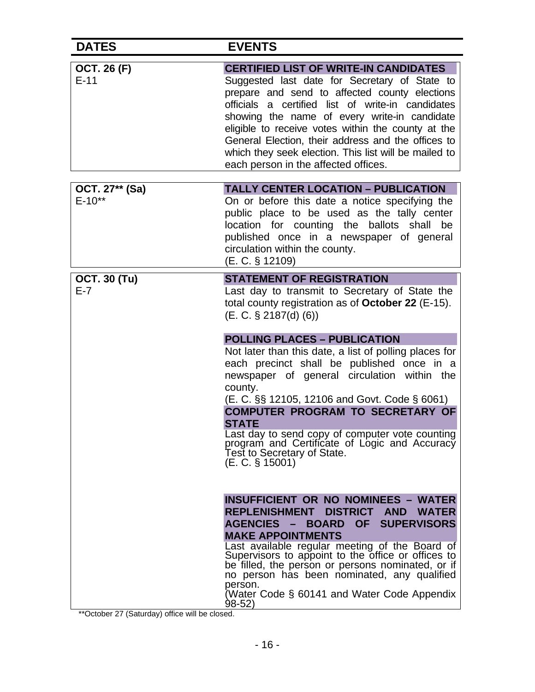| <b>DATES</b>                 | <b>EVENTS</b>                                                                                                                                                                                                                                                                                                                                                                                                                                                                                                                                                                                                                                                                                                                                                                                                                                                            |
|------------------------------|--------------------------------------------------------------------------------------------------------------------------------------------------------------------------------------------------------------------------------------------------------------------------------------------------------------------------------------------------------------------------------------------------------------------------------------------------------------------------------------------------------------------------------------------------------------------------------------------------------------------------------------------------------------------------------------------------------------------------------------------------------------------------------------------------------------------------------------------------------------------------|
| <b>OCT. 26 (F)</b><br>$E-11$ | <b>CERTIFIED LIST OF WRITE-IN CANDIDATES</b><br>Suggested last date for Secretary of State to<br>prepare and send to affected county elections<br>officials a certified list of write-in candidates<br>showing the name of every write-in candidate<br>eligible to receive votes within the county at the<br>General Election, their address and the offices to<br>which they seek election. This list will be mailed to<br>each person in the affected offices.                                                                                                                                                                                                                                                                                                                                                                                                         |
| OCT. 27** (Sa)<br>$E - 10**$ | <b>TALLY CENTER LOCATION - PUBLICATION</b><br>On or before this date a notice specifying the<br>public place to be used as the tally center<br>location for counting the ballots shall<br>be<br>published once in a newspaper of general<br>circulation within the county.<br>(E. C. § 12109)                                                                                                                                                                                                                                                                                                                                                                                                                                                                                                                                                                            |
| <b>OCT. 30 (Tu)</b><br>$E-7$ | <b>STATEMENT OF REGISTRATION</b><br>Last day to transmit to Secretary of State the<br>total county registration as of October 22 (E-15).<br>$(E. C. \S 2187(d) (6))$<br><b>POLLING PLACES - PUBLICATION</b><br>Not later than this date, a list of polling places for<br>each precinct shall be published once in a<br>newspaper of general circulation within the<br>county.<br>(E. C. §§ 12105, 12106 and Govt. Code § 6061)<br><b>COMPUTER PROGRAM TO SECRETARY OF</b><br><b>STATE</b><br>Last day to send copy of computer vote counting<br>program and Certificate of Logic and Accuracy<br>Test to Secretary of State.<br>(E. C. § 15001)<br><b>INSUFFICIENT OR NO NOMINEES - WATER</b><br><b>DISTRICT</b><br><b>REPLENISHMENT</b><br><b>AND</b><br><b>WATER</b><br><b>AGENCIES</b><br><b>SUPERVISORS</b><br><b>BOARD</b><br><b>OF</b><br><b>MAKE APPOINTMENTS</b> |
|                              | Last available regular meeting of the Board of<br>Supervisors to appoint to the office or offices to<br>be filled, the person or persons nominated, or if<br>no person has been nominated, any qualified<br>person.<br>(Water Code § 60141 and Water Code Appendix<br>$98 - 52$                                                                                                                                                                                                                                                                                                                                                                                                                                                                                                                                                                                          |

\*\*October 27 (Saturday) office will be closed.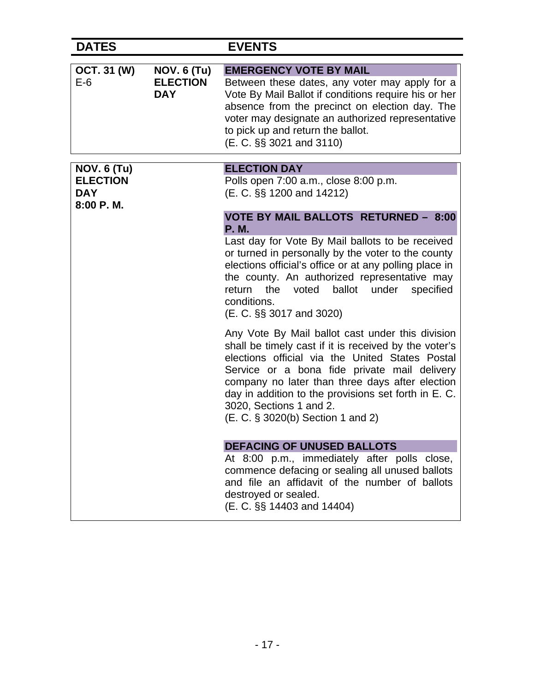| <b>DATES</b>                                                     |                                                     | <b>EVENTS</b>                                                                                                                                                                                                                                                                                                                                                                                                                                                                                                                                                                                                                                                                                                                                                                                                                          |
|------------------------------------------------------------------|-----------------------------------------------------|----------------------------------------------------------------------------------------------------------------------------------------------------------------------------------------------------------------------------------------------------------------------------------------------------------------------------------------------------------------------------------------------------------------------------------------------------------------------------------------------------------------------------------------------------------------------------------------------------------------------------------------------------------------------------------------------------------------------------------------------------------------------------------------------------------------------------------------|
| <b>OCT. 31 (W)</b><br>$E-6$                                      | <b>NOV. 6 (Tu)</b><br><b>ELECTION</b><br><b>DAY</b> | <b>EMERGENCY VOTE BY MAIL</b><br>Between these dates, any voter may apply for a<br>Vote By Mail Ballot if conditions require his or her<br>absence from the precinct on election day. The<br>voter may designate an authorized representative<br>to pick up and return the ballot.<br>(E. C. §§ 3021 and 3110)                                                                                                                                                                                                                                                                                                                                                                                                                                                                                                                         |
| <b>NOV. 6 (Tu)</b><br><b>ELECTION</b><br><b>DAY</b><br>8:00 P.M. |                                                     | <b>ELECTION DAY</b><br>Polls open 7:00 a.m., close 8:00 p.m.<br>(E. C. §§ 1200 and 14212)<br><b>VOTE BY MAIL BALLOTS RETURNED - 8:00</b><br><b>P.M.</b><br>Last day for Vote By Mail ballots to be received<br>or turned in personally by the voter to the county<br>elections official's office or at any polling place in<br>the county. An authorized representative may<br>ballot<br>the<br>voted<br>under<br>specified<br>return<br>conditions.<br>(E. C. §§ 3017 and 3020)<br>Any Vote By Mail ballot cast under this division<br>shall be timely cast if it is received by the voter's<br>elections official via the United States Postal<br>Service or a bona fide private mail delivery<br>company no later than three days after election<br>day in addition to the provisions set forth in E. C.<br>3020, Sections 1 and 2. |
|                                                                  |                                                     | (E. C. § 3020(b) Section 1 and 2)<br><b>DEFACING OF UNUSED BALLOTS</b><br>At 8:00 p.m., immediately after polls close,<br>commence defacing or sealing all unused ballots<br>and file an affidavit of the number of ballots<br>destroyed or sealed.<br>(E. C. §§ 14403 and 14404)                                                                                                                                                                                                                                                                                                                                                                                                                                                                                                                                                      |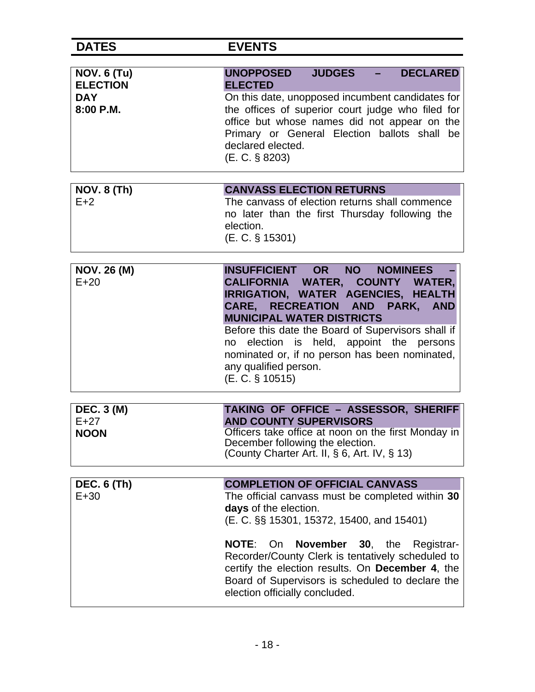| <b>NOV. 6 (Tu)</b><br><b>ELECTION</b> | <b>DECLARED</b><br><b>JUDGES</b><br>$\omega_{\rm{max}}$<br><b>UNOPPOSED</b><br><b>ELECTED</b>                                                                                                                                                                                                                                                                                                               |
|---------------------------------------|-------------------------------------------------------------------------------------------------------------------------------------------------------------------------------------------------------------------------------------------------------------------------------------------------------------------------------------------------------------------------------------------------------------|
| <b>DAY</b><br>8:00 P.M.               | On this date, unopposed incumbent candidates for<br>the offices of superior court judge who filed for<br>office but whose names did not appear on the<br>Primary or General Election ballots shall be<br>declared elected.<br>(E. C. § 8203)                                                                                                                                                                |
| <b>NOV. 8 (Th)</b>                    | <b>CANVASS ELECTION RETURNS</b>                                                                                                                                                                                                                                                                                                                                                                             |
| $E+2$                                 | The canvass of election returns shall commence<br>no later than the first Thursday following the<br>election.<br>(E. C. § 15301)                                                                                                                                                                                                                                                                            |
| <b>NOV. 26 (M)</b><br>$E+20$          | <b>INSUFFICIENT OR</b><br><b>NO</b><br><b>NOMINEES</b><br>CALIFORNIA WATER, COUNTY WATER,<br>IRRIGATION, WATER AGENCIES, HEALTH<br>CARE, RECREATION AND<br>PARK, AND<br><b>MUNICIPAL WATER DISTRICTS</b><br>Before this date the Board of Supervisors shall if<br>election is held, appoint the persons<br>no<br>nominated or, if no person has been nominated,<br>any qualified person.<br>(E. C. § 10515) |
| <b>DEC. 3 (M)</b>                     | TAKING OF OFFICE - ASSESSOR, SHERIFF                                                                                                                                                                                                                                                                                                                                                                        |
| $E+27$                                | <b>AND COUNTY SUPERVISORS</b>                                                                                                                                                                                                                                                                                                                                                                               |
| <b>NOON</b>                           | Officers take office at noon on the first Monday in<br>December following the election.<br>(County Charter Art. II, § 6, Art. IV, § 13)                                                                                                                                                                                                                                                                     |
| <b>DEC. 6 (Th)</b>                    | <b>COMPLETION OF OFFICIAL CANVASS</b>                                                                                                                                                                                                                                                                                                                                                                       |
| $E+30$                                | The official canvass must be completed within 30<br>days of the election.<br>(E. C. §§ 15301, 15372, 15400, and 15401)                                                                                                                                                                                                                                                                                      |
|                                       | <b>NOTE:</b><br><b>November</b><br>On<br><b>30</b> , the<br>Registrar-<br>Recorder/County Clerk is tentatively scheduled to<br>certify the election results. On December 4, the<br>Board of Supervisors is scheduled to declare the<br>election officially concluded.                                                                                                                                       |